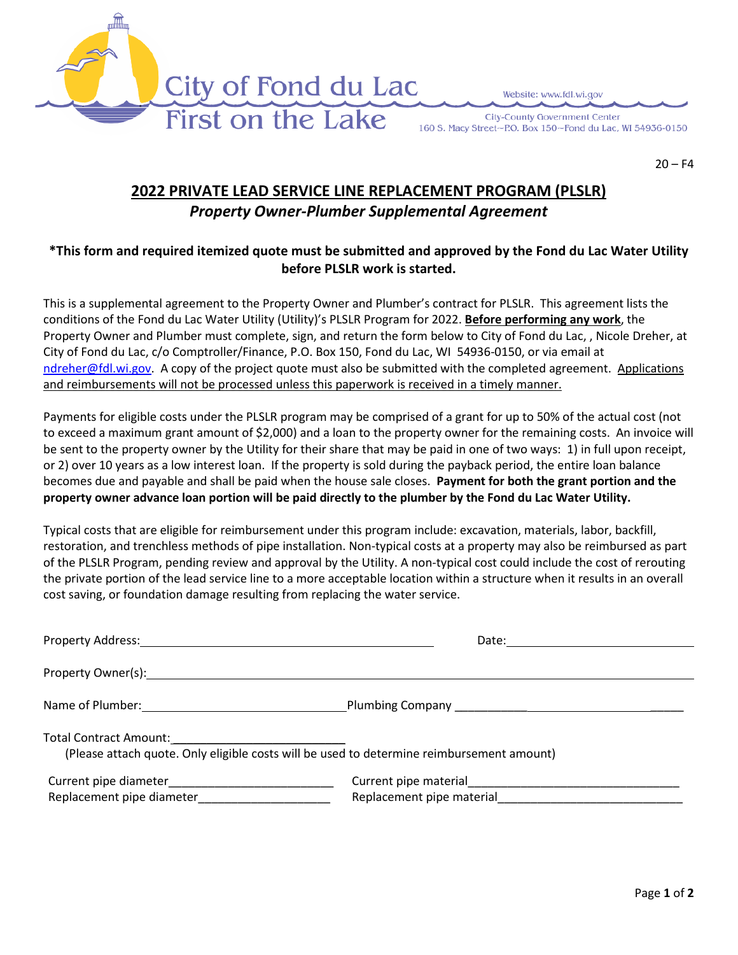

Website: www.fdl.wi.gov

**City-County Government Center** 160 S. Macy Street~P.O. Box 150~Fond du Lac, WI 54936-0150

 $20 - F4$ 

## **2022 PRIVATE LEAD SERVICE LINE REPLACEMENT PROGRAM (PLSLR)** *Property Owner-Plumber Supplemental Agreement*

## **\*This form and required itemized quote must be submitted and approved by the Fond du Lac Water Utility before PLSLR work is started.**

This is a supplemental agreement to the Property Owner and Plumber's contract for PLSLR. This agreement lists the conditions of the Fond du Lac Water Utility (Utility)'s PLSLR Program for 2022. **Before performing any work**, the Property Owner and Plumber must complete, sign, and return the form below to City of Fond du Lac, , Nicole Dreher, at City of Fond du Lac, c/o Comptroller/Finance, P.O. Box 150, Fond du Lac, WI 54936-0150, or via email at [ndreher@fdl.wi.gov.](mailto:ndreher@fdl.wi.gov) A copy of the project quote must also be submitted with the completed agreement. Applications and reimbursements will not be processed unless this paperwork is received in a timely manner.

Payments for eligible costs under the PLSLR program may be comprised of a grant for up to 50% of the actual cost (not to exceed a maximum grant amount of \$2,000) and a loan to the property owner for the remaining costs. An invoice will be sent to the property owner by the Utility for their share that may be paid in one of two ways: 1) in full upon receipt, or 2) over 10 years as a low interest loan. If the property is sold during the payback period, the entire loan balance becomes due and payable and shall be paid when the house sale closes. **Payment for both the grant portion and the property owner advance loan portion will be paid directly to the plumber by the Fond du Lac Water Utility.**

Typical costs that are eligible for reimbursement under this program include: excavation, materials, labor, backfill, restoration, and trenchless methods of pipe installation. Non-typical costs at a property may also be reimbursed as part of the PLSLR Program, pending review and approval by the Utility. A non-typical cost could include the cost of rerouting the private portion of the lead service line to a more acceptable location within a structure when it results in an overall cost saving, or foundation damage resulting from replacing the water service.

|                                                                                           | Date: <u>________________________</u> |
|-------------------------------------------------------------------------------------------|---------------------------------------|
|                                                                                           |                                       |
| Name of Plumber: Name of Plumber:                                                         |                                       |
| (Please attach quote. Only eligible costs will be used to determine reimbursement amount) |                                       |
|                                                                                           | Replacement pipe material             |